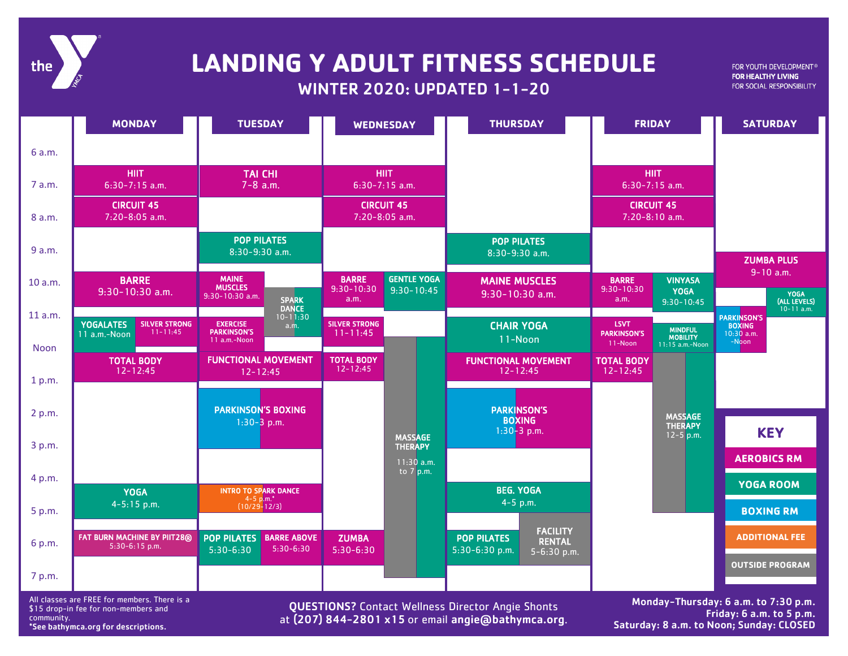

## WINTER 2020: UPDATED 1-1-20 **LANDING Y ADULT FITNESS SCHEDULE**

FOR YOUTH DEVELOPMENT® FOR HEALTHY LIVING FOR SOCIAL RESPONSIBILITY

|                        | <b>MONDAY</b>                                                            | <b>TUESDAY</b>                                                                | <b>WEDNESDAY</b>                     |                                                  | <b>THURSDAY</b>                                      | <b>FRIDAY</b>                                |                                                      | <b>SATURDAY</b>                      |                                        |
|------------------------|--------------------------------------------------------------------------|-------------------------------------------------------------------------------|--------------------------------------|--------------------------------------------------|------------------------------------------------------|----------------------------------------------|------------------------------------------------------|--------------------------------------|----------------------------------------|
| 6 a.m.                 |                                                                          |                                                                               |                                      |                                                  |                                                      |                                              |                                                      |                                      |                                        |
| 7 a.m.                 | <b>HIIT</b><br>$6:30-7:15$ a.m.                                          | <b>TAI CHI</b><br>$7 - 8$ a.m.                                                | <b>HIIT</b><br>$6:30-7:15$ a.m.      |                                                  |                                                      | <b>HIIT</b><br>$6:30-7:15$ a.m.              |                                                      |                                      |                                        |
| 8 a.m.                 | <b>CIRCUIT 45</b><br>7:20-8:05 a.m.                                      |                                                                               | <b>CIRCUIT 45</b><br>7:20-8:05 a.m.  |                                                  |                                                      | <b>CIRCUIT 45</b><br>7:20-8:10 a.m.          |                                                      |                                      |                                        |
| 9 a.m.                 |                                                                          | <b>POP PILATES</b><br>8:30-9:30 a.m.                                          |                                      |                                                  | <b>POP PILATES</b><br>8:30-9:30 a.m.                 |                                              |                                                      |                                      | <b>ZUMBA PLUS</b>                      |
| 10 a.m.                | <b>BARRE</b>                                                             | <b>MAINE</b><br><b>MUSCLES</b>                                                | <b>BARRE</b><br>$9:30 - 10:30$       | <b>GENTLE YOGA</b>                               | <b>MAINE MUSCLES</b>                                 | <b>BARRE</b><br>$9:30 - 10:30$               | <b>VINYASA</b>                                       |                                      | $9 - 10$ a.m.                          |
|                        | $9:30-10:30$ a.m.                                                        | 9:30-10:30 a.m.<br><b>SPARK</b><br><b>DANCE</b>                               | a.m.                                 | $9:30 - 10:45$                                   | $9:30-10:30$ a.m.                                    | a.m.                                         | <b>YOGA</b><br>$9:30 - 10:45$                        |                                      | YOGA<br>(ALL LEVELS)<br>$10 - 11$ a.m. |
| 11 a.m.<br><b>Noon</b> | <b>YOGALATES</b><br><b>SILVER STRONG</b><br>$11 - 11:45$<br>11 a.m.-Noon | $10 - 11:30$<br><b>EXERCISE</b><br>a.m.<br><b>PARKINSON'S</b><br>11 a.m.-Noon | <b>SILVER STRONG</b><br>$11 - 11:45$ |                                                  | <b>CHAIR YOGA</b><br>11-Noon                         | <b>LSVT</b><br><b>PARKINSON'S</b><br>11-Noon | <b>MINDFUL</b><br><b>MOBILITY</b><br>11:15 a.m.-Noon | PARKINSON'S<br>$10:30$ a.m.<br>-Noon |                                        |
| 1 p.m.                 | <b>TOTAL BODY</b><br>$12 - 12:45$                                        | <b>FUNCTIONAL MOVEMENT</b><br>$12 - 12:45$                                    | <b>TOTAL BODY</b><br>$12 - 12:45$    |                                                  | <b>FUNCTIONAL MOVEMENT</b><br>$12 - 12:45$           | <b>TOTAL BODY</b><br>$12 - 12:45$            |                                                      |                                      |                                        |
|                        |                                                                          |                                                                               |                                      |                                                  |                                                      |                                              |                                                      |                                      |                                        |
| 2 p.m.                 |                                                                          | <b>PARKINSON'S BOXING</b><br>$1:30-3$ p.m.                                    |                                      |                                                  | <b>PARKINSON'S</b><br><b>BOXING</b><br>$1:30-3$ p.m. |                                              | <b>MASSAGE</b><br><b>THERAPY</b><br>$12 - 5$ p.m.    |                                      | <b>KEY</b>                             |
| 3 p.m.                 |                                                                          |                                                                               |                                      | <b>MASSAGE</b><br><b>THERAPY</b><br>$11:30$ a.m. |                                                      |                                              |                                                      | <b>AEROBICS RM</b>                   |                                        |
| 4 p.m.                 |                                                                          |                                                                               |                                      | to $7$ p.m.                                      |                                                      |                                              |                                                      |                                      | <b>YOGA ROOM</b>                       |
| 5 p.m.                 | <b>YOGA</b><br>$4 - 5:15$ p.m.                                           | <b>INTRO TO SPARK DANCE</b><br>$4 - 5$ p.m.*<br>$(10/29 - 12/3)$              |                                      |                                                  | <b>BEG. YOGA</b><br>$4 - 5$ p.m.                     |                                              |                                                      | <b>BOXING RM</b>                     |                                        |
|                        | FAT BURN MACHINE BY PIIT28®                                              | <b>BARRE ABOVE</b><br><b>POP PILATES</b>                                      | <b>ZUMBA</b>                         |                                                  | <b>FACILITY</b><br><b>POP PILATES</b>                |                                              |                                                      |                                      | <b>ADDITIONAL FEE</b>                  |
| 6 p.m.                 | 5:30-6:15 p.m.                                                           | $5:30-6:30$<br>$5:30-6:30$                                                    | $5:30 - 6:30$                        |                                                  | <b>RENTAL</b><br>5:30-6:30 p.m.<br>5-6:30 p.m.       |                                              |                                                      |                                      |                                        |
| 7 p.m.                 |                                                                          |                                                                               |                                      |                                                  |                                                      |                                              |                                                      |                                      | <b>OUTSIDE PROGRAM</b>                 |

All classes are FREE for members. There is a \$15 drop-in fee for non-members and community. \*See bathymca.org for descriptions.

QUESTIONS? Contact Wellness Director Angie Shonts at (207) 844-2801 x15 or email angie@bathymca.org.

Monday-Thursday: 6 a.m. to 7:30 p.m. Friday: 6 a.m. to 5 p.m. Saturday: 8 a.m. to Noon; Sunday: CLOSED